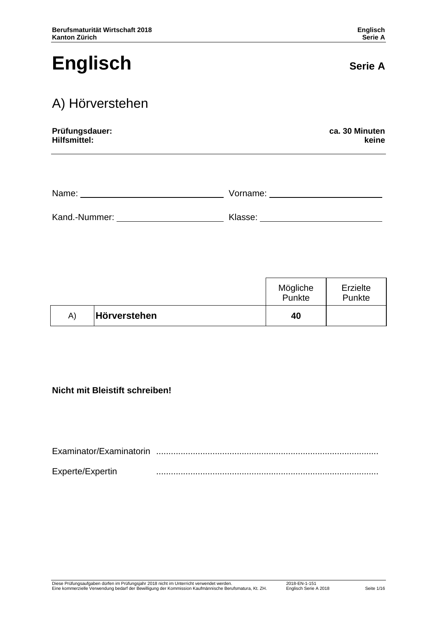# **Englisch** Serie A

## A) Hörverstehen

| Prüfungsdauer:      | ca. 30 Minuten |
|---------------------|----------------|
| <b>Hilfsmittel:</b> | keine          |

| Name:         | Vorname: |
|---------------|----------|
| Kand.-Nummer: | Klasse:  |

|    |              | Mögliche<br>Punkte | Erzielte<br>Punkte |
|----|--------------|--------------------|--------------------|
| A) | Hörverstehen | 40                 |                    |

### **Nicht mit Bleistift schreiben!**

| Examinator/Examinatorin |  |
|-------------------------|--|
| Experte/Expertin        |  |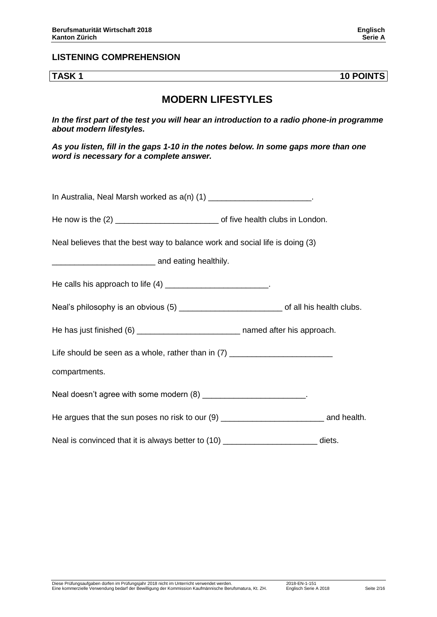### **LISTENING COMPREHENSION**

**TASK 1 10 POINTS**

### **MODERN LIFESTYLES**

*In the first part of the test you will hear an introduction to a radio phone-in programme about modern lifestyles.*

*As you listen, fill in the gaps 1-10 in the notes below. In some gaps more than one word is necessary for a complete answer.*

| In Australia, Neal Marsh worked as a(n) (1) _________________________.                         |                                                                                               |
|------------------------------------------------------------------------------------------------|-----------------------------------------------------------------------------------------------|
|                                                                                                |                                                                                               |
| Neal believes that the best way to balance work and social life is doing (3)                   |                                                                                               |
|                                                                                                |                                                                                               |
| He calls his approach to life (4) _________________________.                                   |                                                                                               |
| Neal's philosophy is an obvious (5) _________________________________ of all his health clubs. |                                                                                               |
|                                                                                                |                                                                                               |
| Life should be seen as a whole, rather than in (7) _____________________________               |                                                                                               |
| compartments.                                                                                  |                                                                                               |
| Neal doesn't agree with some modern (8) __________________________.                            |                                                                                               |
|                                                                                                | He argues that the sun poses no risk to our (9) _________________________________ and health. |
| Neal is convinced that it is always better to (10) __________________________ diets.           |                                                                                               |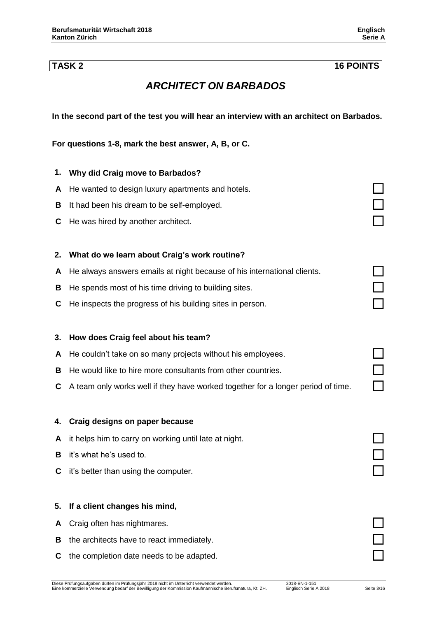### **TASK 2 16 POINTS**

### *ARCHITECT ON BARBADOS*

**In the second part of the test you will hear an interview with an architect on Barbados.**

**For questions 1-8, mark the best answer, A, B, or C.** 

| 1. | Why did Craig move to Barbados?                                                  |  |
|----|----------------------------------------------------------------------------------|--|
| A  | He wanted to design luxury apartments and hotels.                                |  |
| В  | It had been his dream to be self-employed.                                       |  |
| C. | He was hired by another architect.                                               |  |
| 2. | What do we learn about Craig's work routine?                                     |  |
| A  | He always answers emails at night because of his international clients.          |  |
| В  | He spends most of his time driving to building sites.                            |  |
| C  | He inspects the progress of his building sites in person.                        |  |
| 3. | How does Craig feel about his team?                                              |  |
| A  | He couldn't take on so many projects without his employees.                      |  |
| В  | He would like to hire more consultants from other countries.                     |  |
| C  | A team only works well if they have worked together for a longer period of time. |  |
| 4. | Craig designs on paper because                                                   |  |
| A  | it helps him to carry on working until late at night.                            |  |
| В  | it's what he's used to.                                                          |  |
| C  | it's better than using the computer.                                             |  |
|    |                                                                                  |  |
|    | 5. If a client changes his mind,                                                 |  |

- **<sup>A</sup>** Craig often has nightmares.
- **<sup>B</sup>** the architects have to react immediately.
- **<sup>C</sup>** the completion date needs to be adapted.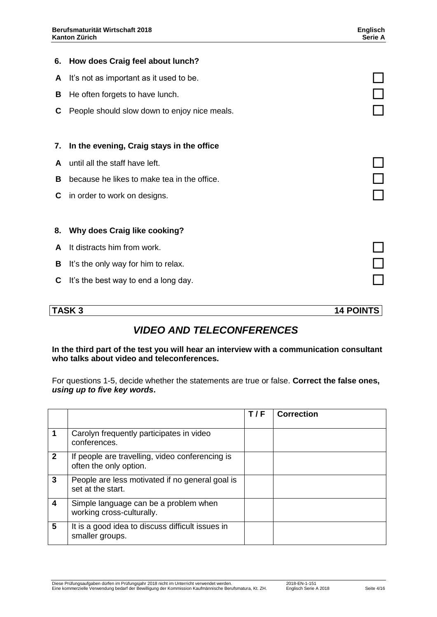| 6. | How does Craig feel about lunch?             |  |
|----|----------------------------------------------|--|
| A  | It's not as important as it used to be.      |  |
| В  | He often forgets to have lunch.              |  |
| С  | People should slow down to enjoy nice meals. |  |
|    |                                              |  |
| 7. | In the evening, Craig stays in the office    |  |
| A  | until all the staff have left.               |  |
| В  | because he likes to make tea in the office.  |  |
| С  | in order to work on designs.                 |  |
|    |                                              |  |
| 8. | Why does Craig like cooking?                 |  |
| A  | It distracts him from work.                  |  |
| В  | It's the only way for him to relax.          |  |
| С  | It's the best way to end a long day.         |  |
|    |                                              |  |

**TASK 3 14 POINTS**

### *VIDEO AND TELECONFERENCES*

**In the third part of the test you will hear an interview with a communication consultant who talks about video and teleconferences.**

For questions 1-5, decide whether the statements are true or false. **Correct the false ones,**  *using up to five key words***.** 

|   |                                                                           | T/F | <b>Correction</b> |
|---|---------------------------------------------------------------------------|-----|-------------------|
| 1 | Carolyn frequently participates in video<br>conferences.                  |     |                   |
| 2 | If people are travelling, video conferencing is<br>often the only option. |     |                   |
| 3 | People are less motivated if no general goal is<br>set at the start.      |     |                   |
| 4 | Simple language can be a problem when<br>working cross-culturally.        |     |                   |
| 5 | It is a good idea to discuss difficult issues in<br>smaller groups.       |     |                   |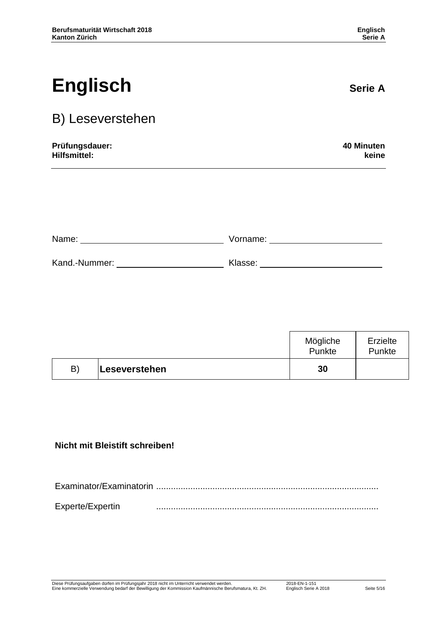# **Englisch** Serie A

## B) Leseverstehen

| Prüfungsdauer:      | 40 Minuten |
|---------------------|------------|
| <b>Hilfsmittel:</b> | keine      |

| Name:         | Vorname: |
|---------------|----------|
|               |          |
| Kand.-Nummer: | Klasse:  |

|    |               | Mögliche<br>Punkte | Erzielte<br><b>Punkte</b> |
|----|---------------|--------------------|---------------------------|
| B) | Leseverstehen | 30                 |                           |

### **Nicht mit Bleistift schreiben!**

| Experte/Expertin |  |
|------------------|--|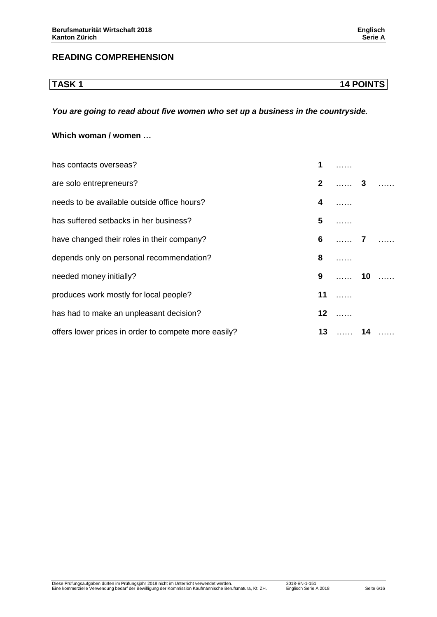### **READING COMPREHENSION**

**TASK 1 14 POINTS**

*You are going to read about five women who set up a business in the countryside.*

### **Which woman / women …**

| has contacts overseas?                               |              |            |      |
|------------------------------------------------------|--------------|------------|------|
| are solo entrepreneurs?                              | $\mathbf{2}$ | $\ldots$ 3 |      |
| needs to be available outside office hours?          | 4            |            |      |
| has suffered setbacks in her business?               | 5            |            |      |
| have changed their roles in their company?           | 6            |            |      |
| depends only on personal recommendation?             | 8            |            |      |
| needed money initially?                              | 9            | . 10       |      |
| produces work mostly for local people?               | 11           |            |      |
| has had to make an unpleasant decision?              | $12 \,$      |            |      |
| offers lower prices in order to compete more easily? | 13           |            | $14$ |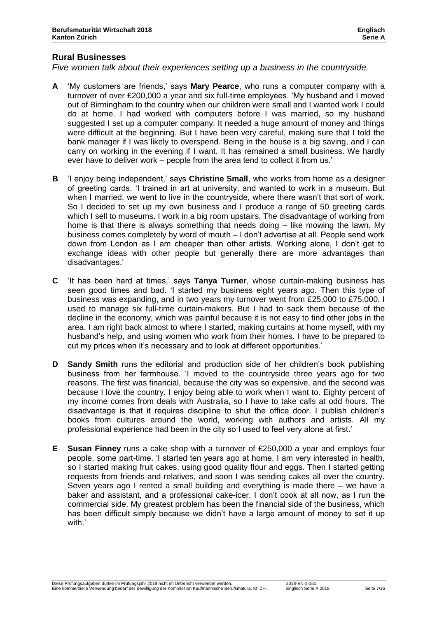### **Rural Businesses**

*Five women talk about their experiences setting up a business in the countryside.*

- **A** 'My customers are friends,' says **Mary Pearce**, who runs a computer company with a turnover of over £200,000 a year and six full-time employees. 'My husband and I moved out of Birmingham to the country when our children were small and I wanted work I could do at home. I had worked with computers before I was married, so my husband suggested I set up a computer company. It needed a huge amount of money and things were difficult at the beginning. But I have been very careful, making sure that I told the bank manager if I was likely to overspend. Being in the house is a big saving, and I can carry on working in the evening if I want. It has remained a small business. We hardly ever have to deliver work – people from the area tend to collect it from us.'
- **B** 'I enjoy being independent,' says **Christine Small**, who works from home as a designer of greeting cards. 'I trained in art at university, and wanted to work in a museum. But when I married, we went to live in the countryside, where there wasn't that sort of work. So I decided to set up my own business and I produce a range of 50 greeting cards which I sell to museums. I work in a big room upstairs. The disadvantage of working from home is that there is always something that needs doing – like mowing the lawn. My business comes completely by word of mouth – I don't advertise at all. People send work down from London as I am cheaper than other artists. Working alone, I don't get to exchange ideas with other people but generally there are more advantages than disadvantages.'
- **C** 'It has been hard at times,' says **Tanya Turner**, whose curtain-making business has seen good times and bad. 'I started my business eight years ago. Then this type of business was expanding, and in two years my turnover went from £25,000 to £75,000. I used to manage six full-time curtain-makers. But I had to sack them because of the decline in the economy, which was painful because it is not easy to find other jobs in the area. I am right back almost to where I started, making curtains at home myself, with my husband's help, and using women who work from their homes. I have to be prepared to cut my prices when it's necessary and to look at different opportunities.'
- **D Sandy Smith** runs the editorial and production side of her children's book publishing business from her farmhouse. 'I moved to the countryside three years ago for two reasons. The first was financial, because the city was so expensive, and the second was because I love the country. I enjoy being able to work when I want to. Eighty percent of my income comes from deals with Australia, so I have to take calls at odd hours. The disadvantage is that it requires discipline to shut the office door. I publish children's books from cultures around the world, working with authors and artists. All my professional experience had been in the city so I used to feel very alone at first.'
- **E Susan Finney** runs a cake shop with a turnover of £250,000 a year and employs four people, some part-time. 'I started ten years ago at home. I am very interested in health, so I started making fruit cakes, using good quality flour and eggs. Then I started getting requests from friends and relatives, and soon I was sending cakes all over the country. Seven years ago I rented a small building and everything is made there – we have a baker and assistant, and a professional cake-icer. I don't cook at all now, as I run the commercial side. My greatest problem has been the financial side of the business, which has been difficult simply because we didn't have a large amount of money to set it up with.'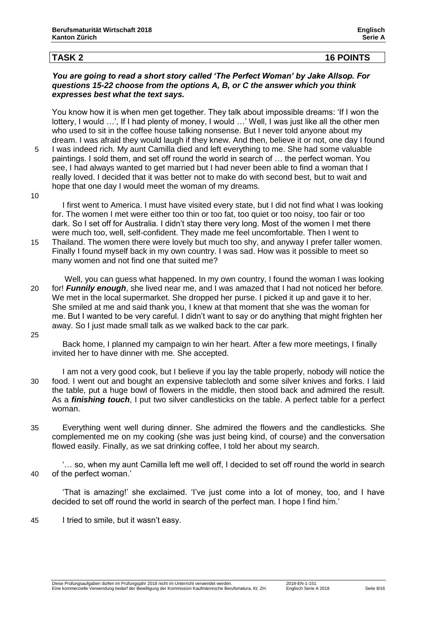### **TASK 2 16 POINTS**

#### *You are going to read a short story called 'The Perfect Woman' by Jake Allsop. For questions 15-22 choose from the options A, B, or C the answer which you think expresses best what the text says.*

You know how it is when men get together. They talk about impossible dreams: 'If I won the lottery, I would …', If I had plenty of money, I would …' Well, I was just like all the other men who used to sit in the coffee house talking nonsense. But I never told anyone about my dream. I was afraid they would laugh if they knew. And then, believe it or not, one day I found 5 I was indeed rich. My aunt Camilla died and left everything to me. She had some valuable

- paintings. I sold them, and set off round the world in search of … the perfect woman. You see, I had always wanted to get married but I had never been able to find a woman that I really loved. I decided that it was better not to make do with second best, but to wait and hope that one day I would meet the woman of my dreams.
- 10

I first went to America. I must have visited every state, but I did not find what I was looking for. The women I met were either too thin or too fat, too quiet or too noisy, too fair or too dark. So I set off for Australia. I didn't stay there very long. Most of the women I met there were much too, well, self-confident. They made me feel uncomfortable. Then I went to

15 Thailand. The women there were lovely but much too shy, and anyway I prefer taller women. Finally I found myself back in my own country. I was sad. How was it possible to meet so many women and not find one that suited me?

Well, you can guess what happened. In my own country, I found the woman I was looking 20 for! *Funnily enough*, she lived near me, and I was amazed that I had not noticed her before. We met in the local supermarket. She dropped her purse. I picked it up and gave it to her. She smiled at me and said thank you, I knew at that moment that she was the woman for me. But I wanted to be very careful. I didn't want to say or do anything that might frighten her away. So I just made small talk as we walked back to the car park.

25

Back home, I planned my campaign to win her heart. After a few more meetings, I finally invited her to have dinner with me. She accepted.

- I am not a very good cook, but I believe if you lay the table properly, nobody will notice the 30 food. I went out and bought an expensive tablecloth and some silver knives and forks. I laid the table, put a huge bowl of flowers in the middle, then stood back and admired the result. As a *finishing touch*, I put two silver candlesticks on the table. A perfect table for a perfect woman.
- 35 Everything went well during dinner. She admired the flowers and the candlesticks. She complemented me on my cooking (she was just being kind, of course) and the conversation flowed easily. Finally, as we sat drinking coffee, I told her about my search.

'… so, when my aunt Camilla left me well off, I decided to set off round the world in search 40 of the perfect woman.'

'That is amazing!' she exclaimed. 'I've just come into a lot of money, too, and I have decided to set off round the world in search of the perfect man. I hope I find him.'

45 I tried to smile, but it wasn't easy.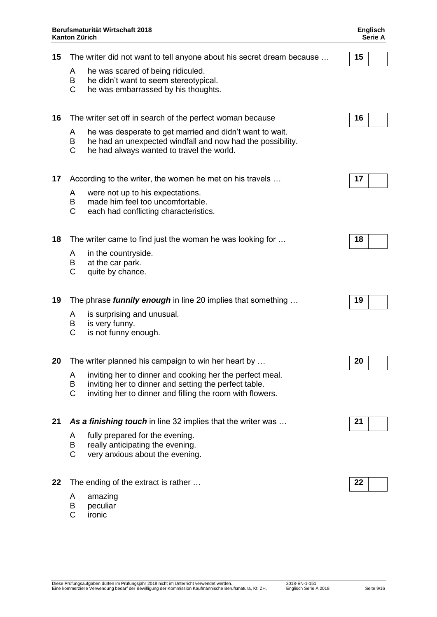|    | Kanton Zürich          |                                                                                                                                                                                |    | Serie A |
|----|------------------------|--------------------------------------------------------------------------------------------------------------------------------------------------------------------------------|----|---------|
| 15 | A<br>B                 | The writer did not want to tell anyone about his secret dream because<br>he was scared of being ridiculed.<br>he didn't want to seem stereotypical.                            | 15 |         |
|    | $\mathsf{C}$           | he was embarrassed by his thoughts.                                                                                                                                            |    |         |
| 16 |                        | The writer set off in search of the perfect woman because                                                                                                                      | 16 |         |
|    | A<br>B<br>$\mathsf{C}$ | he was desperate to get married and didn't want to wait.<br>he had an unexpected windfall and now had the possibility.<br>he had always wanted to travel the world.            |    |         |
| 17 |                        | According to the writer, the women he met on his travels                                                                                                                       | 17 |         |
|    | Α<br>B<br>$\mathsf{C}$ | were not up to his expectations.<br>made him feel too uncomfortable.<br>each had conflicting characteristics.                                                                  |    |         |
| 18 |                        | The writer came to find just the woman he was looking for                                                                                                                      | 18 |         |
|    | A<br>B<br>$\mathsf{C}$ | in the countryside.<br>at the car park.<br>quite by chance.                                                                                                                    |    |         |
| 19 |                        | The phrase funnily enough in line 20 implies that something                                                                                                                    | 19 |         |
|    | A<br>B<br>$\mathsf{C}$ | is surprising and unusual.<br>is very funny.<br>is not funny enough.                                                                                                           |    |         |
| 20 |                        | The writer planned his campaign to win her heart by                                                                                                                            | 20 |         |
|    | A<br>B<br>$\mathsf C$  | inviting her to dinner and cooking her the perfect meal.<br>inviting her to dinner and setting the perfect table.<br>inviting her to dinner and filling the room with flowers. |    |         |
|    |                        |                                                                                                                                                                                |    |         |

|  | 21 As a finishing touch in line 32 implies that the writer was | 21 |
|--|----------------------------------------------------------------|----|
|--|----------------------------------------------------------------|----|

- A fully prepared for the evening.
- B really anticipating the evening.
- C very anxious about the evening.
- **22** The ending of the extract is rather … **22**
	- A amazing<br>B peculiar
	- B peculiar<br>C ironic
	- ironic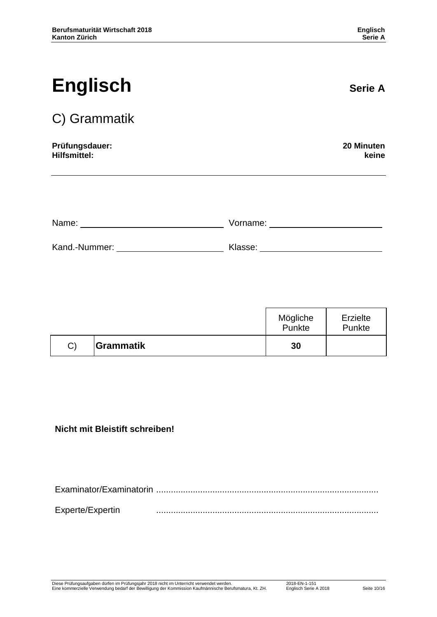# **Englisch** Serie A

## C) Grammatik

### **Prüfungsdauer: 20 Minuten Hilfsmittel: keine**

| Name:         | Vorname: |
|---------------|----------|
|               |          |
| Kand.-Nummer: | Klasse:  |

|    |           | Mögliche<br>Punkte | Erzielte<br>Punkte |
|----|-----------|--------------------|--------------------|
| C) | Grammatik | 30                 |                    |

### **Nicht mit Bleistift schreiben!**

Examinator/Examinatorin ...........................................................................................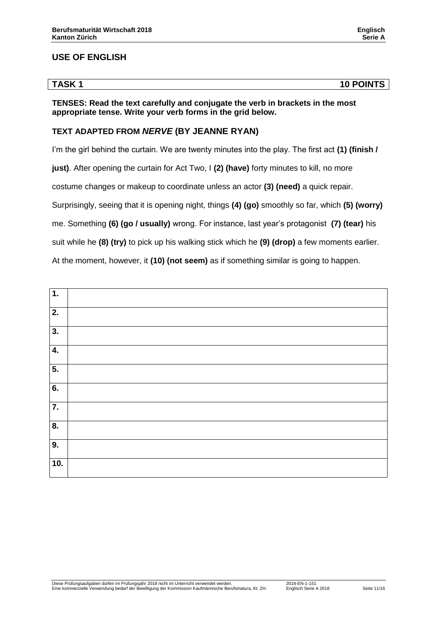### **USE OF ENGLISH**

### **TASK 1 10 POINTS**

**TENSES: Read the text carefully and conjugate the verb in brackets in the most appropriate tense. Write your verb forms in the grid below.**

### **TEXT ADAPTED FROM** *NERVE* **(BY JEANNE RYAN)**

I'm the girl behind the curtain. We are twenty minutes into the play. The first act **(1) (finish /** 

**just)**. After opening the curtain for Act Two, I **(2) (have)** forty minutes to kill, no more

costume changes or makeup to coordinate unless an actor **(3) (need)** a quick repair.

Surprisingly, seeing that it is opening night, things **(4) (go)** smoothly so far, which **(5) (worry)** 

me. Something **(6) (go / usually)** wrong. For instance, last year's protagonist **(7) (tear)** his

suit while he **(8) (try)** to pick up his walking stick which he **(9) (drop)** a few moments earlier.

At the moment, however, it **(10) (not seem)** as if something similar is going to happen.

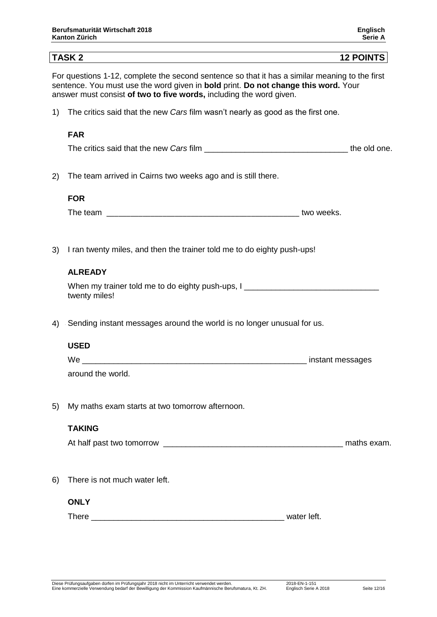## **TASK 2 12 POINTS**

For questions 1-12, complete the second sentence so that it has a similar meaning to the first sentence. You must use the word given in **bold** print. **Do not change this word.** Your answer must consist **of two to five words,** including the word given.

1) 1The critics said that the new *Cars* film wasn't nearly as good as the first one.

### **FAR**

The critics said that the new *Cars* film \_\_\_\_\_\_\_\_\_\_\_\_\_\_\_\_\_\_\_\_\_\_\_\_\_\_\_\_\_\_\_\_ the old one.

2) 2The team arrived in Cairns two weeks ago and is still there.

### **FOR**

| The team | two weeks. |
|----------|------------|
|----------|------------|

3) I ran twenty miles, and then the trainer told me to do eighty push-ups!

### **ALREADY**

| When my trainer told me to do eighty push-ups, I |  |
|--------------------------------------------------|--|
| twenty miles!                                    |  |

4) Sending instant messages around the world is no longer unusual for us.

| <b>USED</b>       |                  |
|-------------------|------------------|
| We                | instant messages |
| around the world. |                  |

5) 5My maths exam starts at two tomorrow afternoon.

### **TAKING**

| At half past two tomorrow | maths exam. |
|---------------------------|-------------|
|                           |             |

6) There is not much water left.

### **ONLY**

There water left.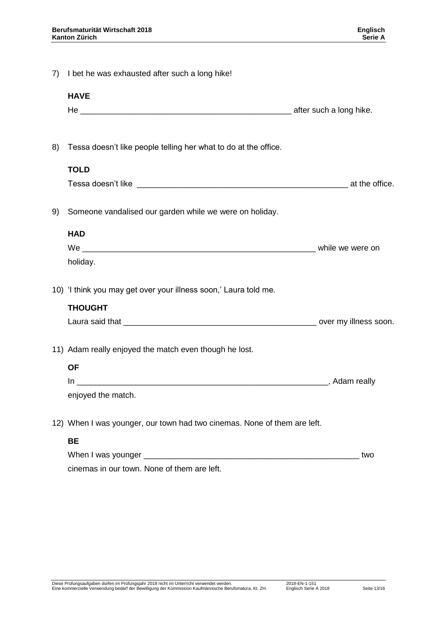| 7) | I bet he was exhausted after such a long hike!                           |     |
|----|--------------------------------------------------------------------------|-----|
|    | <b>HAVE</b>                                                              |     |
|    |                                                                          |     |
|    |                                                                          |     |
| 8) | Tessa doesn't like people telling her what to do at the office.          |     |
|    | <b>TOLD</b>                                                              |     |
|    |                                                                          |     |
| 9) | Someone vandalised our garden while we were on holiday.                  |     |
|    | <b>HAD</b>                                                               |     |
|    |                                                                          |     |
|    | holiday.                                                                 |     |
|    | 10) 'I think you may get over your illness soon,' Laura told me.         |     |
|    | <b>THOUGHT</b>                                                           |     |
|    |                                                                          |     |
|    | 11) Adam really enjoyed the match even though he lost.                   |     |
|    | <b>OF</b>                                                                |     |
|    |                                                                          |     |
|    | enjoyed the match.                                                       |     |
|    | 12) When I was younger, our town had two cinemas. None of them are left. |     |
|    | <b>BE</b>                                                                |     |
|    |                                                                          | two |

cinemas in our town. None of them are left.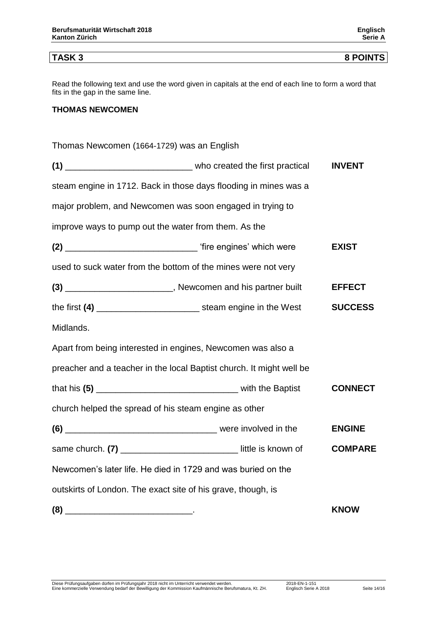Read the following text and use the word given in capitals at the end of each line to form a word that fits in the gap in the same line.

#### **THOMAS NEWCOMEN**

Thomas Newcomen (1664-1729) was an English

|                                                                      | <b>INVENT</b>  |
|----------------------------------------------------------------------|----------------|
| steam engine in 1712. Back in those days flooding in mines was a     |                |
| major problem, and Newcomen was soon engaged in trying to            |                |
| improve ways to pump out the water from them. As the                 |                |
|                                                                      | <b>EXIST</b>   |
| used to suck water from the bottom of the mines were not very        |                |
| (3) ____________________________, Newcomen and his partner built     | <b>EFFECT</b>  |
|                                                                      | <b>SUCCESS</b> |
| Midlands.                                                            |                |
| Apart from being interested in engines, Newcomen was also a          |                |
| preacher and a teacher in the local Baptist church. It might well be |                |
|                                                                      | <b>CONNECT</b> |
| church helped the spread of his steam engine as other                |                |
|                                                                      | <b>ENGINE</b>  |
|                                                                      | <b>COMPARE</b> |
| Newcomen's later life. He died in 1729 and was buried on the         |                |
| outskirts of London. The exact site of his grave, though, is         |                |
|                                                                      | <b>KNOW</b>    |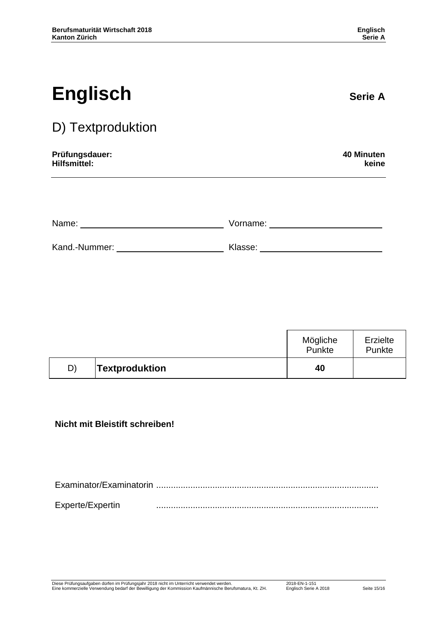| <b>Englisch</b>                       | <b>Serie A</b>      |
|---------------------------------------|---------------------|
| D) Textproduktion                     |                     |
| Prüfungsdauer:<br><b>Hilfsmittel:</b> | 40 Minuten<br>keine |

| Name:         | Vorname: |
|---------------|----------|
| Kand.-Nummer: | Klasse:  |

|    |                       | Mögliche<br>Punkte | <b>Erzielte</b><br>Punkte |
|----|-----------------------|--------------------|---------------------------|
| D) | <b>Textproduktion</b> | 40                 |                           |

### **Nicht mit Bleistift schreiben!**

Examinator/Examinatorin ........................................................................................... Experte/Expertin ...........................................................................................